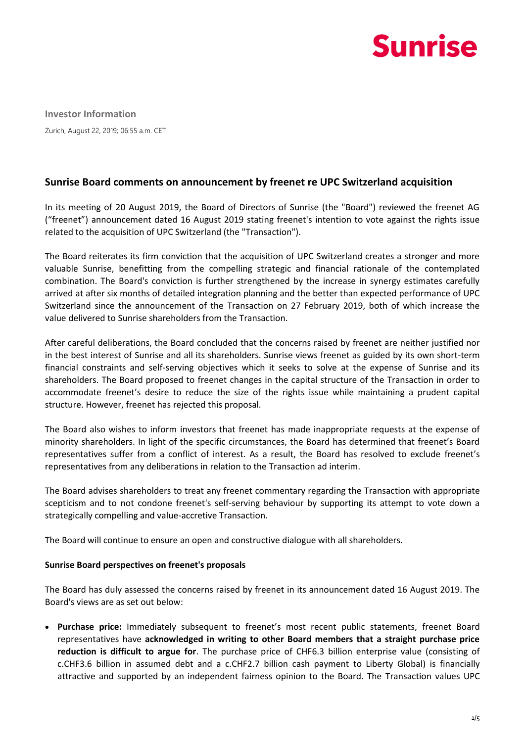

**Investor Information** Zurich, August 22, 2019; 06:55 a.m. CET

# **Sunrise Board comments on announcement by freenet re UPC Switzerland acquisition**

In its meeting of 20 August 2019, the Board of Directors of Sunrise (the "Board") reviewed the freenet AG ("freenet") announcement dated 16 August 2019 stating freenet's intention to vote against the rights issue related to the acquisition of UPC Switzerland (the "Transaction").

The Board reiterates its firm conviction that the acquisition of UPC Switzerland creates a stronger and more valuable Sunrise, benefitting from the compelling strategic and financial rationale of the contemplated combination. The Board's conviction is further strengthened by the increase in synergy estimates carefully arrived at after six months of detailed integration planning and the better than expected performance of UPC Switzerland since the announcement of the Transaction on 27 February 2019, both of which increase the value delivered to Sunrise shareholders from the Transaction.

After careful deliberations, the Board concluded that the concerns raised by freenet are neither justified nor in the best interest of Sunrise and all its shareholders. Sunrise views freenet as guided by its own short-term financial constraints and self-serving objectives which it seeks to solve at the expense of Sunrise and its shareholders. The Board proposed to freenet changes in the capital structure of the Transaction in order to accommodate freenet's desire to reduce the size of the rights issue while maintaining a prudent capital structure. However, freenet has rejected this proposal.

The Board also wishes to inform investors that freenet has made inappropriate requests at the expense of minority shareholders. In light of the specific circumstances, the Board has determined that freenet's Board representatives suffer from a conflict of interest. As a result, the Board has resolved to exclude freenet's representatives from any deliberations in relation to the Transaction ad interim.

The Board advises shareholders to treat any freenet commentary regarding the Transaction with appropriate scepticism and to not condone freenet's self-serving behaviour by supporting its attempt to vote down a strategically compelling and value-accretive Transaction.

The Board will continue to ensure an open and constructive dialogue with all shareholders.

#### **Sunrise Board perspectives on freenet's proposals**

The Board has duly assessed the concerns raised by freenet in its announcement dated 16 August 2019. The Board's views are as set out below:

 **Purchase price:** Immediately subsequent to freenet's most recent public statements, freenet Board representatives have **acknowledged in writing to other Board members that a straight purchase price reduction is difficult to argue for**. The purchase price of CHF6.3 billion enterprise value (consisting of c.CHF3.6 billion in assumed debt and a c.CHF2.7 billion cash payment to Liberty Global) is financially attractive and supported by an independent fairness opinion to the Board. The Transaction values UPC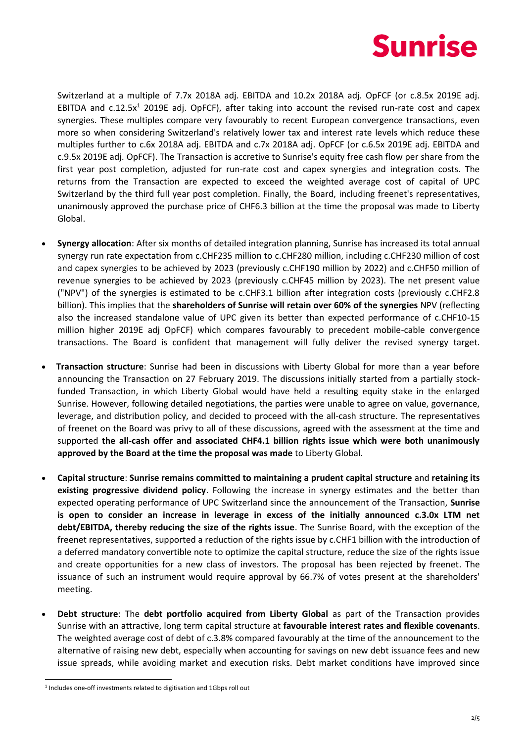

Switzerland at a multiple of 7.7x 2018A adj. EBITDA and 10.2x 2018A adj. OpFCF (or c.8.5x 2019E adj. EBITDA and  $c.12.5x<sup>1</sup>$  2019E adj. OpFCF), after taking into account the revised run-rate cost and capex synergies. These multiples compare very favourably to recent European convergence transactions, even more so when considering Switzerland's relatively lower tax and interest rate levels which reduce these multiples further to c.6x 2018A adj. EBITDA and c.7x 2018A adj. OpFCF (or c.6.5x 2019E adj. EBITDA and c.9.5x 2019E adj. OpFCF). The Transaction is accretive to Sunrise's equity free cash flow per share from the first year post completion, adjusted for run-rate cost and capex synergies and integration costs. The returns from the Transaction are expected to exceed the weighted average cost of capital of UPC Switzerland by the third full year post completion. Finally, the Board, including freenet's representatives, unanimously approved the purchase price of CHF6.3 billion at the time the proposal was made to Liberty Global.

- **Synergy allocation**: After six months of detailed integration planning, Sunrise has increased its total annual synergy run rate expectation from c.CHF235 million to c.CHF280 million, including c.CHF230 million of cost and capex synergies to be achieved by 2023 (previously c.CHF190 million by 2022) and c.CHF50 million of revenue synergies to be achieved by 2023 (previously c.CHF45 million by 2023). The net present value ("NPV") of the synergies is estimated to be c.CHF3.1 billion after integration costs (previously c.CHF2.8 billion). This implies that the **shareholders of Sunrise will retain over 60% of the synergies** NPV (reflecting also the increased standalone value of UPC given its better than expected performance of c.CHF10-15 million higher 2019E adj OpFCF) which compares favourably to precedent mobile-cable convergence transactions. The Board is confident that management will fully deliver the revised synergy target.
- **Transaction structure**: Sunrise had been in discussions with Liberty Global for more than a year before announcing the Transaction on 27 February 2019. The discussions initially started from a partially stockfunded Transaction, in which Liberty Global would have held a resulting equity stake in the enlarged Sunrise. However, following detailed negotiations, the parties were unable to agree on value, governance, leverage, and distribution policy, and decided to proceed with the all-cash structure. The representatives of freenet on the Board was privy to all of these discussions, agreed with the assessment at the time and supported **the all-cash offer and associated CHF4.1 billion rights issue which were both unanimously approved by the Board at the time the proposal was made** to Liberty Global.
- **Capital structure**: **Sunrise remains committed to maintaining a prudent capital structure** and **retaining its existing progressive dividend policy**. Following the increase in synergy estimates and the better than expected operating performance of UPC Switzerland since the announcement of the Transaction, **Sunrise is open to consider an increase in leverage in excess of the initially announced c.3.0x LTM net debt/EBITDA, thereby reducing the size of the rights issue**. The Sunrise Board, with the exception of the freenet representatives, supported a reduction of the rights issue by c.CHF1 billion with the introduction of a deferred mandatory convertible note to optimize the capital structure, reduce the size of the rights issue and create opportunities for a new class of investors. The proposal has been rejected by freenet. The issuance of such an instrument would require approval by 66.7% of votes present at the shareholders' meeting.
- **Debt structure**: The **debt portfolio acquired from Liberty Global** as part of the Transaction provides Sunrise with an attractive, long term capital structure at **favourable interest rates and flexible covenants**. The weighted average cost of debt of c.3.8% compared favourably at the time of the announcement to the alternative of raising new debt, especially when accounting for savings on new debt issuance fees and new issue spreads, while avoiding market and execution risks. Debt market conditions have improved since

-

<sup>&</sup>lt;sup>1</sup> Includes one-off investments related to digitisation and 1Gbps roll out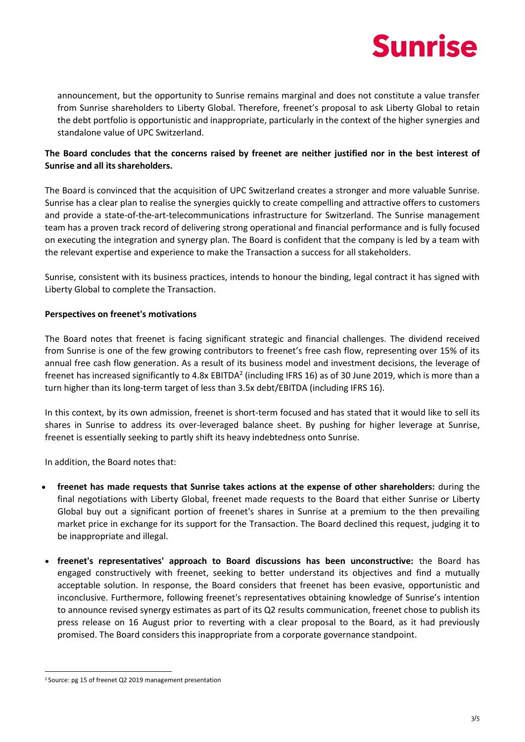

announcement, but the opportunity to Sunrise remains marginal and does not constitute a value transfer from Sunrise shareholders to Liberty Global. Therefore, freenet's proposal to ask Liberty Global to retain the debt portfolio is opportunistic and inappropriate, particularly in the context of the higher synergies and standalone value of UPC Switzerland.

# **The Board concludes that the concerns raised by freenet are neither justified nor in the best interest of Sunrise and all its shareholders.**

The Board is convinced that the acquisition of UPC Switzerland creates a stronger and more valuable Sunrise. Sunrise has a clear plan to realise the synergies quickly to create compelling and attractive offers to customers and provide a state-of-the-art-telecommunications infrastructure for Switzerland. The Sunrise management team has a proven track record of delivering strong operational and financial performance and is fully focused on executing the integration and synergy plan. The Board is confident that the company is led by a team with the relevant expertise and experience to make the Transaction a success for all stakeholders.

Sunrise, consistent with its business practices, intends to honour the binding, legal contract it has signed with Liberty Global to complete the Transaction.

### **Perspectives on freenet's motivations**

The Board notes that freenet is facing significant strategic and financial challenges. The dividend received from Sunrise is one of the few growing contributors to freenet's free cash flow, representing over 15% of its annual free cash flow generation. As a result of its business model and investment decisions, the leverage of freenet has increased significantly to 4.8x EBITDA<sup>2</sup> (including IFRS 16) as of 30 June 2019, which is more than a turn higher than its long-term target of less than 3.5x debt/EBITDA (including IFRS 16).

In this context, by its own admission, freenet is short-term focused and has stated that it would like to sell its shares in Sunrise to address its over-leveraged balance sheet. By pushing for higher leverage at Sunrise, freenet is essentially seeking to partly shift its heavy indebtedness onto Sunrise.

In addition, the Board notes that:

- **freenet has made requests that Sunrise takes actions at the expense of other shareholders:** during the final negotiations with Liberty Global, freenet made requests to the Board that either Sunrise or Liberty Global buy out a significant portion of freenet's shares in Sunrise at a premium to the then prevailing market price in exchange for its support for the Transaction. The Board declined this request, judging it to be inappropriate and illegal.
- **freenet's representatives' approach to Board discussions has been unconstructive:** the Board has engaged constructively with freenet, seeking to better understand its objectives and find a mutually acceptable solution. In response, the Board considers that freenet has been evasive, opportunistic and inconclusive. Furthermore, following freenet's representatives obtaining knowledge of Sunrise's intention to announce revised synergy estimates as part of its Q2 results communication, freenet chose to publish its press release on 16 August prior to reverting with a clear proposal to the Board, as it had previously promised. The Board considers this inappropriate from a corporate governance standpoint.

<sup>-</sup><sup>2</sup> Source: pg 15 of freenet Q2 2019 management presentation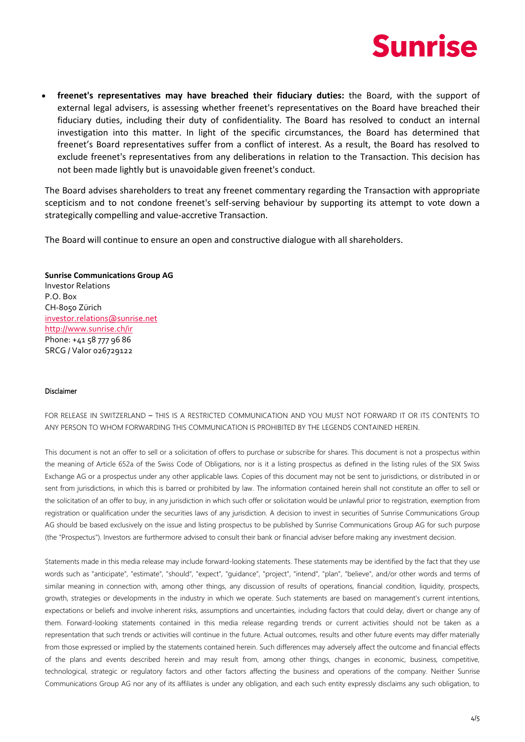

 **freenet's representatives may have breached their fiduciary duties:** the Board, with the support of external legal advisers, is assessing whether freenet's representatives on the Board have breached their fiduciary duties, including their duty of confidentiality. The Board has resolved to conduct an internal investigation into this matter. In light of the specific circumstances, the Board has determined that freenet's Board representatives suffer from a conflict of interest. As a result, the Board has resolved to exclude freenet's representatives from any deliberations in relation to the Transaction. This decision has not been made lightly but is unavoidable given freenet's conduct.

The Board advises shareholders to treat any freenet commentary regarding the Transaction with appropriate scepticism and to not condone freenet's self-serving behaviour by supporting its attempt to vote down a strategically compelling and value-accretive Transaction.

The Board will continue to ensure an open and constructive dialogue with all shareholders.

# **Sunrise Communications Group AG**

Investor Relations P.O. Box CH-8050 Zürich [investor.relations@sunrise.net](mailto:investor.relations@sunrise.net) <http://www.sunrise.ch/ir> Phone: +41 58 777 96 86 SRCG / Valor 026729122

#### Disclaimer

FOR RELEASE IN SWITZERLAND – THIS IS A RESTRICTED COMMUNICATION AND YOU MUST NOT FORWARD IT OR ITS CONTENTS TO ANY PERSON TO WHOM FORWARDING THIS COMMUNICATION IS PROHIBITED BY THE LEGENDS CONTAINED HEREIN.

This document is not an offer to sell or a solicitation of offers to purchase or subscribe for shares. This document is not a prospectus within the meaning of Article 652a of the Swiss Code of Obligations, nor is it a listing prospectus as defined in the listing rules of the SIX Swiss Exchange AG or a prospectus under any other applicable laws. Copies of this document may not be sent to jurisdictions, or distributed in or sent from jurisdictions, in which this is barred or prohibited by law. The information contained herein shall not constitute an offer to sell or the solicitation of an offer to buy, in any jurisdiction in which such offer or solicitation would be unlawful prior to registration, exemption from registration or qualification under the securities laws of any jurisdiction. A decision to invest in securities of Sunrise Communications Group AG should be based exclusively on the issue and listing prospectus to be published by Sunrise Communications Group AG for such purpose (the "Prospectus"). Investors are furthermore advised to consult their bank or financial adviser before making any investment decision.

Statements made in this media release may include forward-looking statements. These statements may be identified by the fact that they use words such as "anticipate", "estimate", "should", "expect", "guidance", "project", "intend", "plan", "believe", and/or other words and terms of similar meaning in connection with, among other things, any discussion of results of operations, financial condition, liquidity, prospects, growth, strategies or developments in the industry in which we operate. Such statements are based on management's current intentions, expectations or beliefs and involve inherent risks, assumptions and uncertainties, including factors that could delay, divert or change any of them. Forward-looking statements contained in this media release regarding trends or current activities should not be taken as a representation that such trends or activities will continue in the future. Actual outcomes, results and other future events may differ materially from those expressed or implied by the statements contained herein. Such differences may adversely affect the outcome and financial effects of the plans and events described herein and may result from, among other things, changes in economic, business, competitive, technological, strategic or regulatory factors and other factors affecting the business and operations of the company. Neither Sunrise Communications Group AG nor any of its affiliates is under any obligation, and each such entity expressly disclaims any such obligation, to